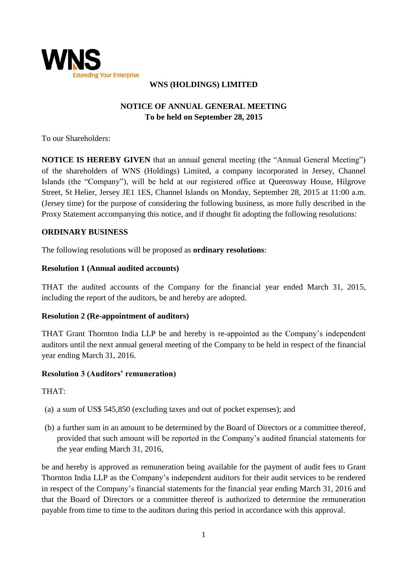

## **WNS (HOLDINGS) LIMITED**

# **NOTICE OF ANNUAL GENERAL MEETING To be held on September 28, 2015**

To our Shareholders:

**NOTICE IS HEREBY GIVEN** that an annual general meeting (the "Annual General Meeting") of the shareholders of WNS (Holdings) Limited, a company incorporated in Jersey, Channel Islands (the "Company"), will be held at our registered office at Queensway House, Hilgrove Street, St Helier, Jersey JE1 1ES, Channel Islands on Monday, September 28, 2015 at 11:00 a.m. (Jersey time) for the purpose of considering the following business, as more fully described in the Proxy Statement accompanying this notice, and if thought fit adopting the following resolutions:

### **ORDINARY BUSINESS**

The following resolutions will be proposed as **ordinary resolutions**:

#### **Resolution 1 (Annual audited accounts)**

THAT the audited accounts of the Company for the financial year ended March 31, 2015, including the report of the auditors, be and hereby are adopted.

## **Resolution 2 (Re-appointment of auditors)**

THAT Grant Thornton India LLP be and hereby is re-appointed as the Company's independent auditors until the next annual general meeting of the Company to be held in respect of the financial year ending March 31, 2016.

## **Resolution 3 (Auditors' remuneration)**

THAT:

- (a) a sum of US\$ 545,850 (excluding taxes and out of pocket expenses); and
- (b) a further sum in an amount to be determined by the Board of Directors or a committee thereof, provided that such amount will be reported in the Company's audited financial statements for the year ending March 31, 2016,

be and hereby is approved as remuneration being available for the payment of audit fees to Grant Thornton India LLP as the Company's independent auditors for their audit services to be rendered in respect of the Company's financial statements for the financial year ending March 31, 2016 and that the Board of Directors or a committee thereof is authorized to determine the remuneration payable from time to time to the auditors during this period in accordance with this approval.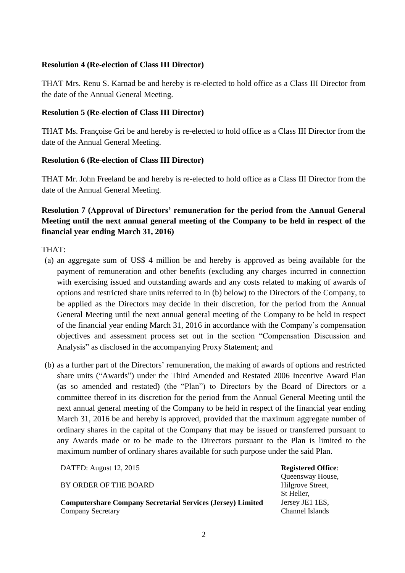#### **Resolution 4 (Re-election of Class III Director)**

THAT Mrs. Renu S. Karnad be and hereby is re-elected to hold office as a Class III Director from the date of the Annual General Meeting.

### **Resolution 5 (Re-election of Class III Director)**

THAT Ms. Françoise Gri be and hereby is re-elected to hold office as a Class III Director from the date of the Annual General Meeting.

### **Resolution 6 (Re-election of Class III Director)**

THAT Mr. John Freeland be and hereby is re-elected to hold office as a Class III Director from the date of the Annual General Meeting.

## **Resolution 7 (Approval of Directors' remuneration for the period from the Annual General Meeting until the next annual general meeting of the Company to be held in respect of the financial year ending March 31, 2016)**

THAT:

- (a) an aggregate sum of US\$ 4 million be and hereby is approved as being available for the payment of remuneration and other benefits (excluding any charges incurred in connection with exercising issued and outstanding awards and any costs related to making of awards of options and restricted share units referred to in (b) below) to the Directors of the Company, to be applied as the Directors may decide in their discretion, for the period from the Annual General Meeting until the next annual general meeting of the Company to be held in respect of the financial year ending March 31, 2016 in accordance with the Company's compensation objectives and assessment process set out in the section "Compensation Discussion and Analysis" as disclosed in the accompanying Proxy Statement; and
- (b) as a further part of the Directors' remuneration, the making of awards of options and restricted share units ("Awards") under the Third Amended and Restated 2006 Incentive Award Plan (as so amended and restated) (the "Plan") to Directors by the Board of Directors or a committee thereof in its discretion for the period from the Annual General Meeting until the next annual general meeting of the Company to be held in respect of the financial year ending March 31, 2016 be and hereby is approved, provided that the maximum aggregate number of ordinary shares in the capital of the Company that may be issued or transferred pursuant to any Awards made or to be made to the Directors pursuant to the Plan is limited to the maximum number of ordinary shares available for such purpose under the said Plan.

DATED: August 12, 2015

BY ORDER OF THE BOARD

**Computershare Company Secretarial Services (Jersey) Limited** Company Secretary

**Registered Office**:

Queensway House, Hilgrove Street, St Helier, Jersey JE1 1ES, Channel Islands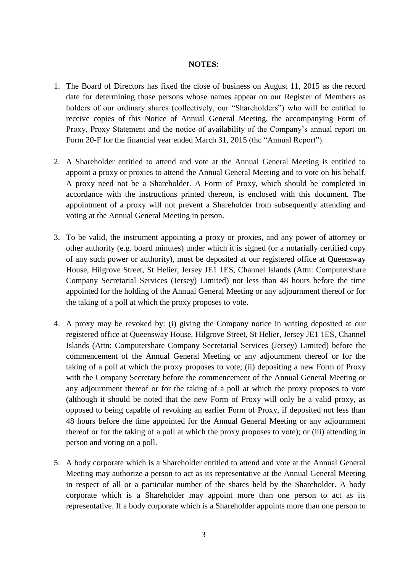#### **NOTES**:

- 1. The Board of Directors has fixed the close of business on August 11, 2015 as the record date for determining those persons whose names appear on our Register of Members as holders of our ordinary shares (collectively, our "Shareholders") who will be entitled to receive copies of this Notice of Annual General Meeting, the accompanying Form of Proxy, Proxy Statement and the notice of availability of the Company's annual report on Form 20-F for the financial year ended March 31, 2015 (the "Annual Report").
- 2. A Shareholder entitled to attend and vote at the Annual General Meeting is entitled to appoint a proxy or proxies to attend the Annual General Meeting and to vote on his behalf. A proxy need not be a Shareholder. A Form of Proxy, which should be completed in accordance with the instructions printed thereon, is enclosed with this document. The appointment of a proxy will not prevent a Shareholder from subsequently attending and voting at the Annual General Meeting in person.
- 3. To be valid, the instrument appointing a proxy or proxies, and any power of attorney or other authority (e.g. board minutes) under which it is signed (or a notarially certified copy of any such power or authority), must be deposited at our registered office at Queensway House, Hilgrove Street, St Helier, Jersey JE1 1ES, Channel Islands (Attn: Computershare Company Secretarial Services (Jersey) Limited) not less than 48 hours before the time appointed for the holding of the Annual General Meeting or any adjournment thereof or for the taking of a poll at which the proxy proposes to vote.
- 4. A proxy may be revoked by: (i) giving the Company notice in writing deposited at our registered office at Queensway House, Hilgrove Street, St Helier, Jersey JE1 1ES, Channel Islands (Attn: Computershare Company Secretarial Services (Jersey) Limited) before the commencement of the Annual General Meeting or any adjournment thereof or for the taking of a poll at which the proxy proposes to vote; (ii) depositing a new Form of Proxy with the Company Secretary before the commencement of the Annual General Meeting or any adjournment thereof or for the taking of a poll at which the proxy proposes to vote (although it should be noted that the new Form of Proxy will only be a valid proxy, as opposed to being capable of revoking an earlier Form of Proxy, if deposited not less than 48 hours before the time appointed for the Annual General Meeting or any adjournment thereof or for the taking of a poll at which the proxy proposes to vote); or (iii) attending in person and voting on a poll.
- 5. A body corporate which is a Shareholder entitled to attend and vote at the Annual General Meeting may authorize a person to act as its representative at the Annual General Meeting in respect of all or a particular number of the shares held by the Shareholder. A body corporate which is a Shareholder may appoint more than one person to act as its representative. If a body corporate which is a Shareholder appoints more than one person to